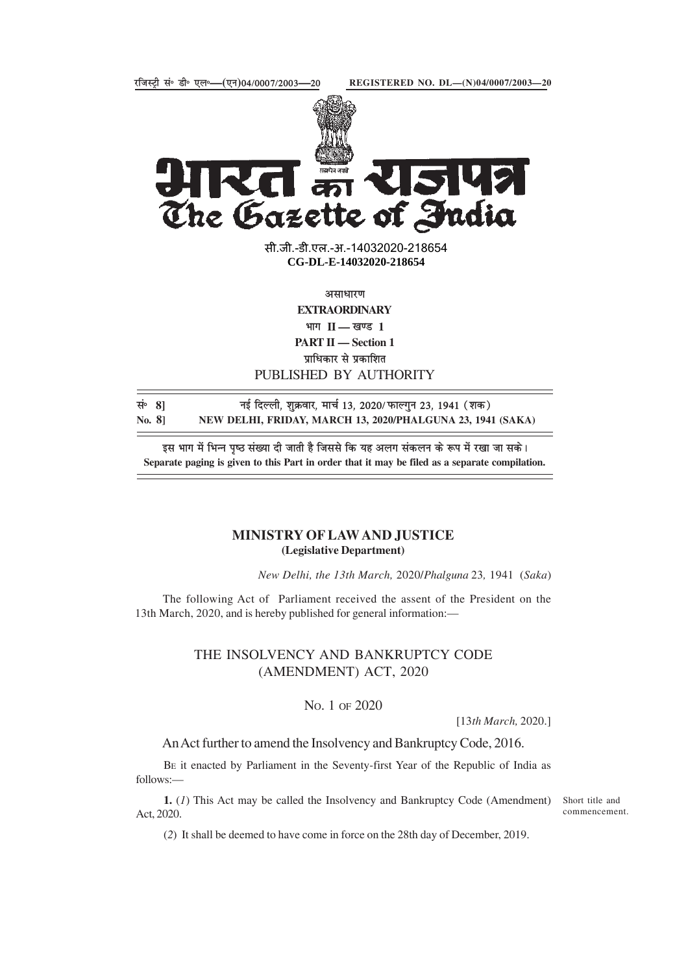



K The Gazette of India

> सी.जी.-डी.एल.-अ.-14032020<mark>-218654</mark> **xxxGIDExxx CG-DL-E-14032020-218654**

> > असाधारण **EXTRAORDINARY**

भाग **II — खण्ड** 1 **PART II — Section 1** प्राधिकार से प्रकाशित

## PUBLISHED BY AUTHORITY

lañ **8]** ubZ fnYyh] 'kqØokj] ekpZ 13] 2020@QkYxqu 23] 1941 ¼'kd½ **No. 8] NEW DELHI, FRIDAY, MARCH 13, 2020/PHALGUNA 23, 1941 (SAKA)**

इस भाग में भिन्न पृष्ठ संख्या दी जाती है जिससे कि यह अलग संकलन के रूप में रखा जा सके। **Separate paging is given to this Part in order that it may be filed as a separate compilation.**

## **MINISTRY OF LAW AND JUSTICE (Legislative Department)**

*New Delhi, the 13th March,* 2020/*Phalguna* 23*,* 1941 (*Saka*)

The following Act of Parliament received the assent of the President on the 13th March, 2020, and is hereby published for general information:—

## THE INSOLVENCY AND BANKRUPTCY CODE (AMENDMENT) ACT, 2020

No. 1 OF 2020

[13*th March,* 2020.]

An Act further to amend the Insolvency and Bankruptcy Code, 2016.

BE it enacted by Parliament in the Seventy-first Year of the Republic of India as follows:—

**1.** (*1*) This Act may be called the Insolvency and Bankruptcy Code (Amendment) Act, 2020.

Short title and commencement.

(*2*) It shall be deemed to have come in force on the 28th day of December, 2019.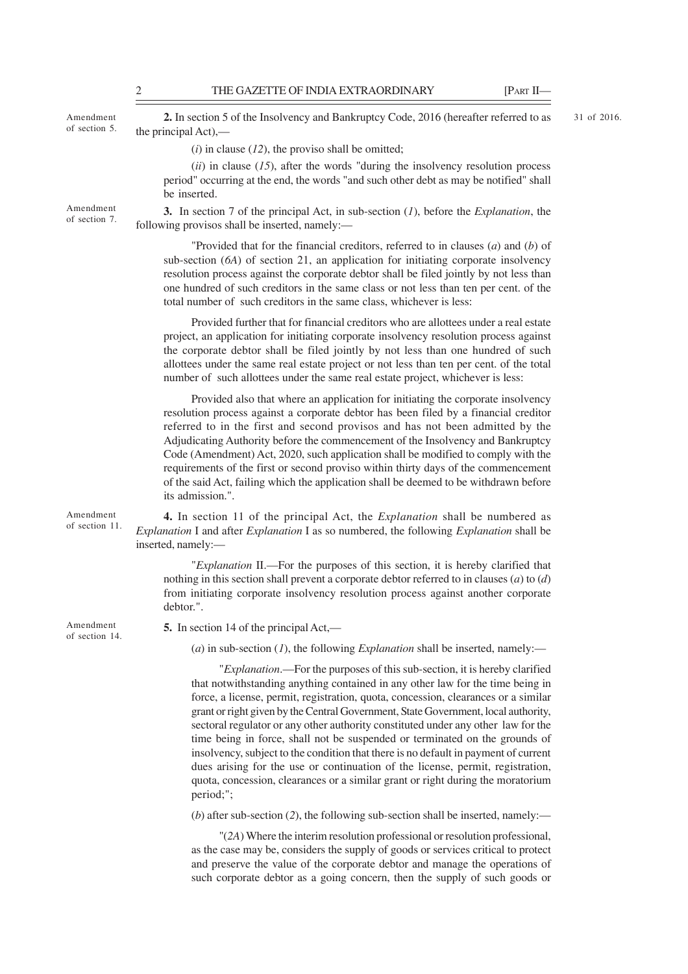Amendment of section 5.

Amendment of section 7.

**2.** In section 5 of the Insolvency and Bankruptcy Code, 2016 (hereafter referred to as the principal Act),—

31 of 2016.

(*i*) in clause (*12*), the proviso shall be omitted;

(*ii*) in clause (*15*), after the words "during the insolvency resolution process period" occurring at the end, the words "and such other debt as may be notified" shall be inserted.

**3.** In section 7 of the principal Act, in sub-section (*1*), before the *Explanation*, the following provisos shall be inserted, namely:—

"Provided that for the financial creditors, referred to in clauses (*a*) and (*b*) of sub-section (*6A*) of section 21, an application for initiating corporate insolvency resolution process against the corporate debtor shall be filed jointly by not less than one hundred of such creditors in the same class or not less than ten per cent. of the total number of such creditors in the same class, whichever is less:

Provided further that for financial creditors who are allottees under a real estate project, an application for initiating corporate insolvency resolution process against the corporate debtor shall be filed jointly by not less than one hundred of such allottees under the same real estate project or not less than ten per cent. of the total number of such allottees under the same real estate project, whichever is less:

Provided also that where an application for initiating the corporate insolvency resolution process against a corporate debtor has been filed by a financial creditor referred to in the first and second provisos and has not been admitted by the Adjudicating Authority before the commencement of the Insolvency and Bankruptcy Code (Amendment) Act, 2020, such application shall be modified to comply with the requirements of the first or second proviso within thirty days of the commencement of the said Act, failing which the application shall be deemed to be withdrawn before its admission.".

Amendment of section 11.

**4.** In section 11 of the principal Act, the *Explanation* shall be numbered as *Explanation* I and after *Explanation* I as so numbered, the following *Explanation* shall be inserted, namely:—

"*Explanation* II.—For the purposes of this section, it is hereby clarified that nothing in this section shall prevent a corporate debtor referred to in clauses (*a*) to (*d*) from initiating corporate insolvency resolution process against another corporate debtor.".

Amendment of section 14. **5.** In section 14 of the principal Act,—

 $(a)$  in sub-section  $(I)$ , the following *Explanation* shall be inserted, namely:—

"*Explanation*.—For the purposes of this sub-section, it is hereby clarified that notwithstanding anything contained in any other law for the time being in force, a license, permit, registration, quota, concession, clearances or a similar grant or right given by the Central Government, State Government, local authority, sectoral regulator or any other authority constituted under any other law for the time being in force, shall not be suspended or terminated on the grounds of insolvency, subject to the condition that there is no default in payment of current dues arising for the use or continuation of the license, permit, registration, quota, concession, clearances or a similar grant or right during the moratorium period;";

(*b*) after sub-section (*2*), the following sub-section shall be inserted, namely:—

"(*2A*) Where the interim resolution professional or resolution professional, as the case may be, considers the supply of goods or services critical to protect and preserve the value of the corporate debtor and manage the operations of such corporate debtor as a going concern, then the supply of such goods or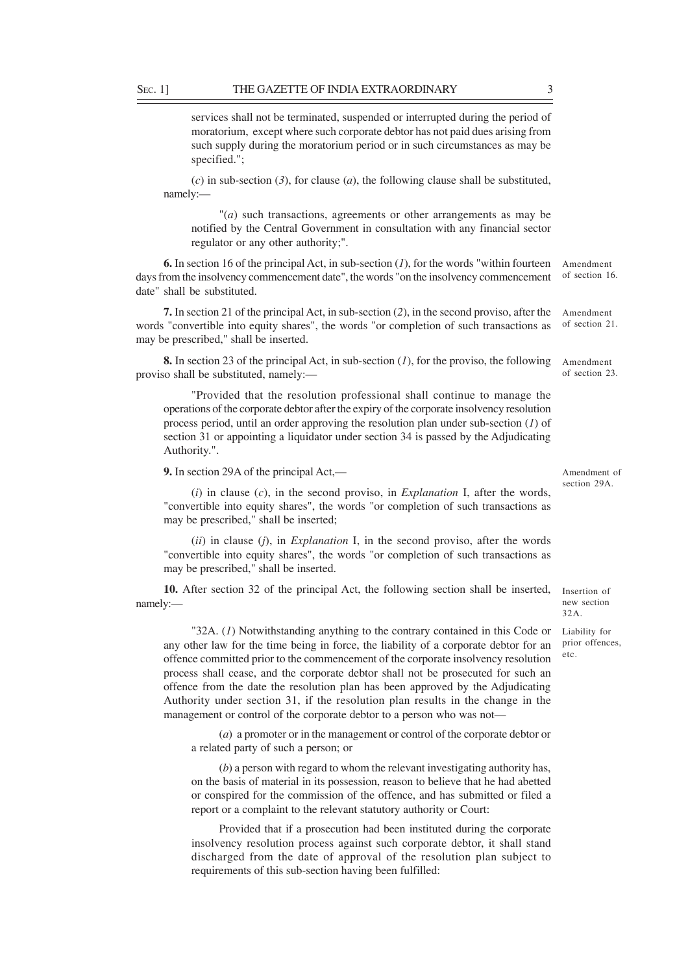services shall not be terminated, suspended or interrupted during the period of moratorium, except where such corporate debtor has not paid dues arising from such supply during the moratorium period or in such circumstances as may be specified.";

(*c*) in sub-section (*3*), for clause (*a*), the following clause shall be substituted, namely:—

"(*a*) such transactions, agreements or other arrangements as may be notified by the Central Government in consultation with any financial sector regulator or any other authority;".

Amendment of section 16. **6.** In section 16 of the principal Act, in sub-section (*1*), for the words "within fourteen days from the insolvency commencement date", the words "on the insolvency commencement date" shall be substituted.

Amendment of section 21. **7.** In section 21 of the principal Act, in sub-section (*2*), in the second proviso, after the words "convertible into equity shares", the words "or completion of such transactions as may be prescribed," shall be inserted.

Amendment **8.** In section 23 of the principal Act, in sub-section (*1*), for the proviso, the following proviso shall be substituted, namely:—

"Provided that the resolution professional shall continue to manage the operations of the corporate debtor after the expiry of the corporate insolvency resolution process period, until an order approving the resolution plan under sub-section (*1*) of section 31 or appointing a liquidator under section 34 is passed by the Adjudicating Authority.".

**9.** In section 29A of the principal Act,—

(*i*) in clause (*c*), in the second proviso, in *Explanation* I, after the words, "convertible into equity shares", the words "or completion of such transactions as may be prescribed," shall be inserted;

(*ii*) in clause (*j*), in *Explanation* I, in the second proviso, after the words "convertible into equity shares", the words "or completion of such transactions as may be prescribed," shall be inserted.

**10.** After section 32 of the principal Act, the following section shall be inserted, namely:—

"32A. (*1*) Notwithstanding anything to the contrary contained in this Code or any other law for the time being in force, the liability of a corporate debtor for an offence committed prior to the commencement of the corporate insolvency resolution process shall cease, and the corporate debtor shall not be prosecuted for such an offence from the date the resolution plan has been approved by the Adjudicating Authority under section 31, if the resolution plan results in the change in the management or control of the corporate debtor to a person who was not—

(*a*) a promoter or in the management or control of the corporate debtor or a related party of such a person; or

(*b*) a person with regard to whom the relevant investigating authority has, on the basis of material in its possession, reason to believe that he had abetted or conspired for the commission of the offence, and has submitted or filed a report or a complaint to the relevant statutory authority or Court:

Provided that if a prosecution had been instituted during the corporate insolvency resolution process against such corporate debtor, it shall stand discharged from the date of approval of the resolution plan subject to requirements of this sub-section having been fulfilled:

Amendment of section 29A.

Insertion of new section 32A.

Liability for prior offences, etc.

of section 23.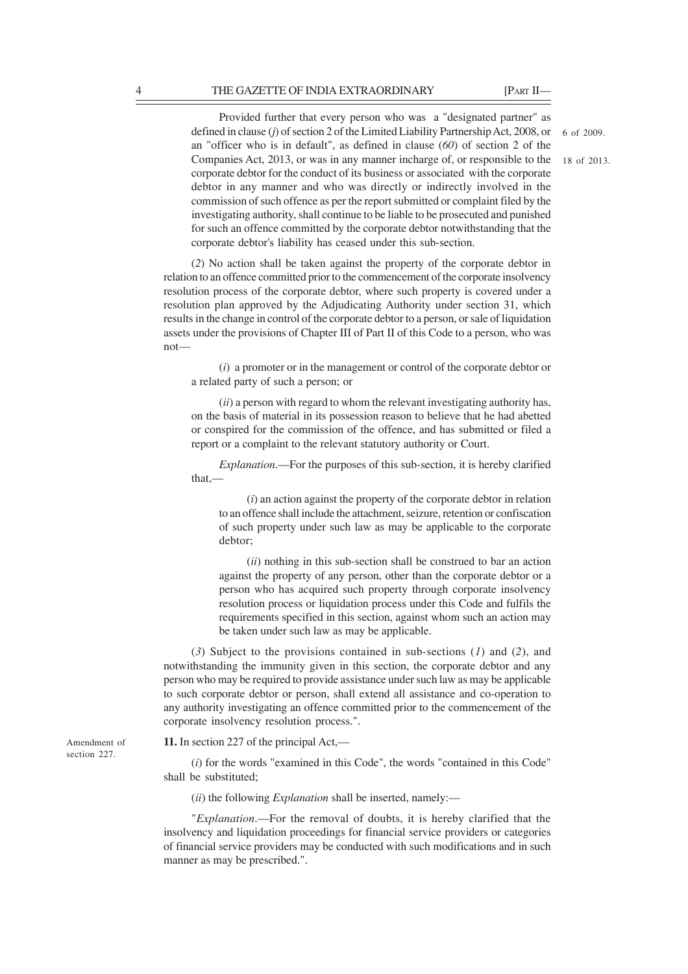Provided further that every person who was a "designated partner" as defined in clause (*j*) of section 2 of the Limited Liability Partnership Act, 2008, or an "officer who is in default", as defined in clause (*60*) of section 2 of the Companies Act, 2013, or was in any manner incharge of, or responsible to the corporate debtor for the conduct of its business or associated with the corporate debtor in any manner and who was directly or indirectly involved in the commission of such offence as per the report submitted or complaint filed by the investigating authority, shall continue to be liable to be prosecuted and punished for such an offence committed by the corporate debtor notwithstanding that the corporate debtor's liability has ceased under this sub-section.

(*2*) No action shall be taken against the property of the corporate debtor in relation to an offence committed prior to the commencement of the corporate insolvency resolution process of the corporate debtor, where such property is covered under a resolution plan approved by the Adjudicating Authority under section 31, which results in the change in control of the corporate debtor to a person, or sale of liquidation assets under the provisions of Chapter III of Part II of this Code to a person, who was not—

(*i*) a promoter or in the management or control of the corporate debtor or a related party of such a person; or

(*ii*) a person with regard to whom the relevant investigating authority has, on the basis of material in its possession reason to believe that he had abetted or conspired for the commission of the offence, and has submitted or filed a report or a complaint to the relevant statutory authority or Court.

*Explanation*.—For the purposes of this sub-section, it is hereby clarified that,—

(*i*) an action against the property of the corporate debtor in relation to an offence shall include the attachment, seizure, retention or confiscation of such property under such law as may be applicable to the corporate debtor;

(*ii*) nothing in this sub-section shall be construed to bar an action against the property of any person, other than the corporate debtor or a person who has acquired such property through corporate insolvency resolution process or liquidation process under this Code and fulfils the requirements specified in this section, against whom such an action may be taken under such law as may be applicable.

(*3*) Subject to the provisions contained in sub-sections (*1*) and (*2*), and notwithstanding the immunity given in this section, the corporate debtor and any person who may be required to provide assistance under such law as may be applicable to such corporate debtor or person, shall extend all assistance and co-operation to any authority investigating an offence committed prior to the commencement of the corporate insolvency resolution process.".

**11.** In section 227 of the principal Act,—

(*i*) for the words "examined in this Code", the words "contained in this Code" shall be substituted;

(*ii*) the following *Explanation* shall be inserted, namely:—

"*Explanation*.—For the removal of doubts, it is hereby clarified that the insolvency and liquidation proceedings for financial service providers or categories of financial service providers may be conducted with such modifications and in such manner as may be prescribed.".

Amendment of section 227.

6 of 2009.

18 of 2013.